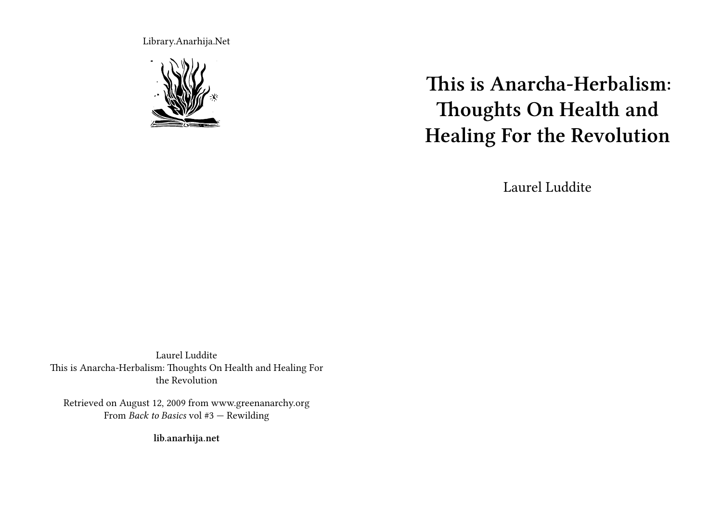Library.Anarhija.Net



**This is Anarcha-Herbalism: Thoughts On Health and Healing For the Revolution**

Laurel Luddite

Laurel Luddite This is Anarcha-Herbalism: Thoughts On Health and Healing For the Revolution

Retrieved on August 12, 2009 from www.greenanarchy.org From *Back to Basics* vol #3 — Rewilding

**lib.anarhija.net**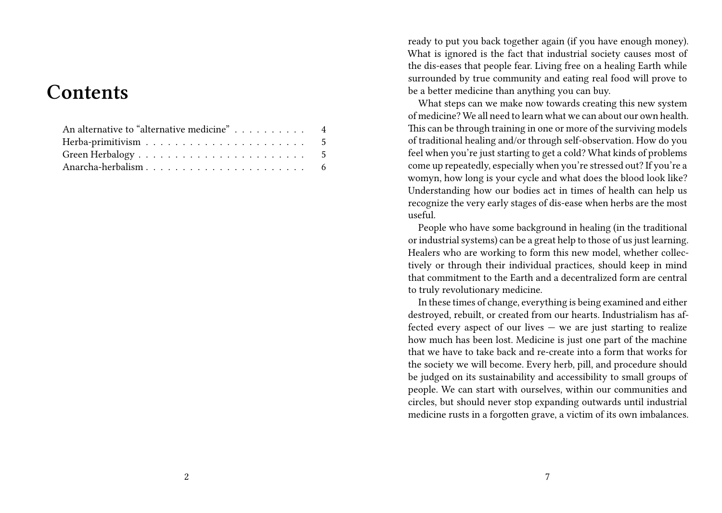# **Contents**

| An alternative to "alternative medicine" 4 |  |
|--------------------------------------------|--|
|                                            |  |
|                                            |  |
|                                            |  |

ready to put you back together again (if you have enough money). What is ignored is the fact that industrial society causes most of the dis-eases that people fear. Living free on a healing Earth while surrounded by true community and eating real food will prove to be a better medicine than anything you can buy.

What steps can we make now towards creating this new system of medicine? We all need to learn what we can about our own health. This can be through training in one or more of the surviving models of traditional healing and/or through self-observation. How do you feel when you're just starting to get a cold? What kinds of problems come up repeatedly, especially when you're stressed out? If you're a womyn, how long is your cycle and what does the blood look like? Understanding how our bodies act in times of health can help us recognize the very early stages of dis-ease when herbs are the most useful.

People who have some background in healing (in the traditional or industrial systems) can be a great help to those of us just learning. Healers who are working to form this new model, whether collectively or through their individual practices, should keep in mind that commitment to the Earth and a decentralized form are central to truly revolutionary medicine.

In these times of change, everything is being examined and either destroyed, rebuilt, or created from our hearts. Industrialism has affected every aspect of our lives — we are just starting to realize how much has been lost. Medicine is just one part of the machine that we have to take back and re-create into a form that works for the society we will become. Every herb, pill, and procedure should be judged on its sustainability and accessibility to small groups of people. We can start with ourselves, within our communities and circles, but should never stop expanding outwards until industrial medicine rusts in a forgotten grave, a victim of its own imbalances.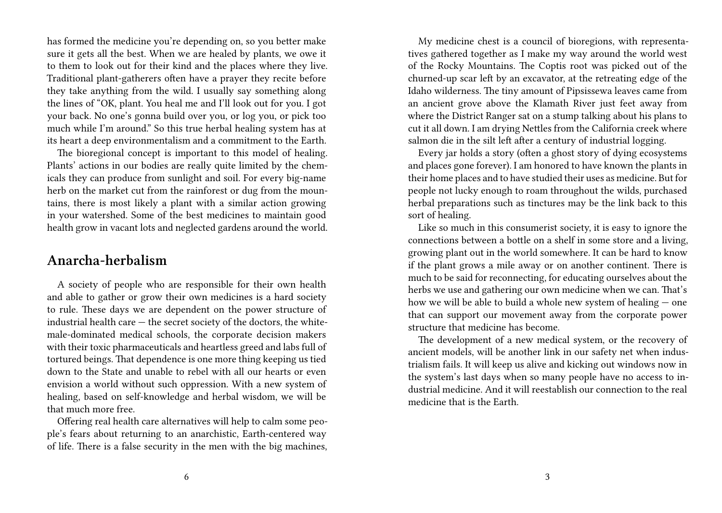has formed the medicine you're depending on, so you better make sure it gets all the best. When we are healed by plants, we owe it to them to look out for their kind and the places where they live. Traditional plant-gatherers often have a prayer they recite before they take anything from the wild. I usually say something along the lines of "OK, plant. You heal me and I'll look out for you. I got your back. No one's gonna build over you, or log you, or pick too much while I'm around." So this true herbal healing system has at its heart a deep environmentalism and a commitment to the Earth.

The bioregional concept is important to this model of healing. Plants' actions in our bodies are really quite limited by the chemicals they can produce from sunlight and soil. For every big-name herb on the market cut from the rainforest or dug from the mountains, there is most likely a plant with a similar action growing in your watershed. Some of the best medicines to maintain good health grow in vacant lots and neglected gardens around the world.

#### **Anarcha-herbalism**

A society of people who are responsible for their own health and able to gather or grow their own medicines is a hard society to rule. These days we are dependent on the power structure of industrial health care — the secret society of the doctors, the whitemale-dominated medical schools, the corporate decision makers with their toxic pharmaceuticals and heartless greed and labs full of tortured beings. That dependence is one more thing keeping us tied down to the State and unable to rebel with all our hearts or even envision a world without such oppression. With a new system of healing, based on self-knowledge and herbal wisdom, we will be that much more free.

Offering real health care alternatives will help to calm some people's fears about returning to an anarchistic, Earth-centered way of life. There is a false security in the men with the big machines,

My medicine chest is a council of bioregions, with representatives gathered together as I make my way around the world west of the Rocky Mountains. The Coptis root was picked out of the churned-up scar left by an excavator, at the retreating edge of the Idaho wilderness. The tiny amount of Pipsissewa leaves came from an ancient grove above the Klamath River just feet away from where the District Ranger sat on a stump talking about his plans to cut it all down. I am drying Nettles from the California creek where salmon die in the silt left after a century of industrial logging.

Every jar holds a story (often a ghost story of dying ecosystems and places gone forever). I am honored to have known the plants in their home places and to have studied their uses as medicine. But for people not lucky enough to roam throughout the wilds, purchased herbal preparations such as tinctures may be the link back to this sort of healing.

Like so much in this consumerist society, it is easy to ignore the connections between a bottle on a shelf in some store and a living, growing plant out in the world somewhere. It can be hard to know if the plant grows a mile away or on another continent. There is much to be said for reconnecting, for educating ourselves about the herbs we use and gathering our own medicine when we can. That's how we will be able to build a whole new system of healing — one that can support our movement away from the corporate power structure that medicine has become.

The development of a new medical system, or the recovery of ancient models, will be another link in our safety net when industrialism fails. It will keep us alive and kicking out windows now in the system's last days when so many people have no access to industrial medicine. And it will reestablish our connection to the real medicine that is the Earth.